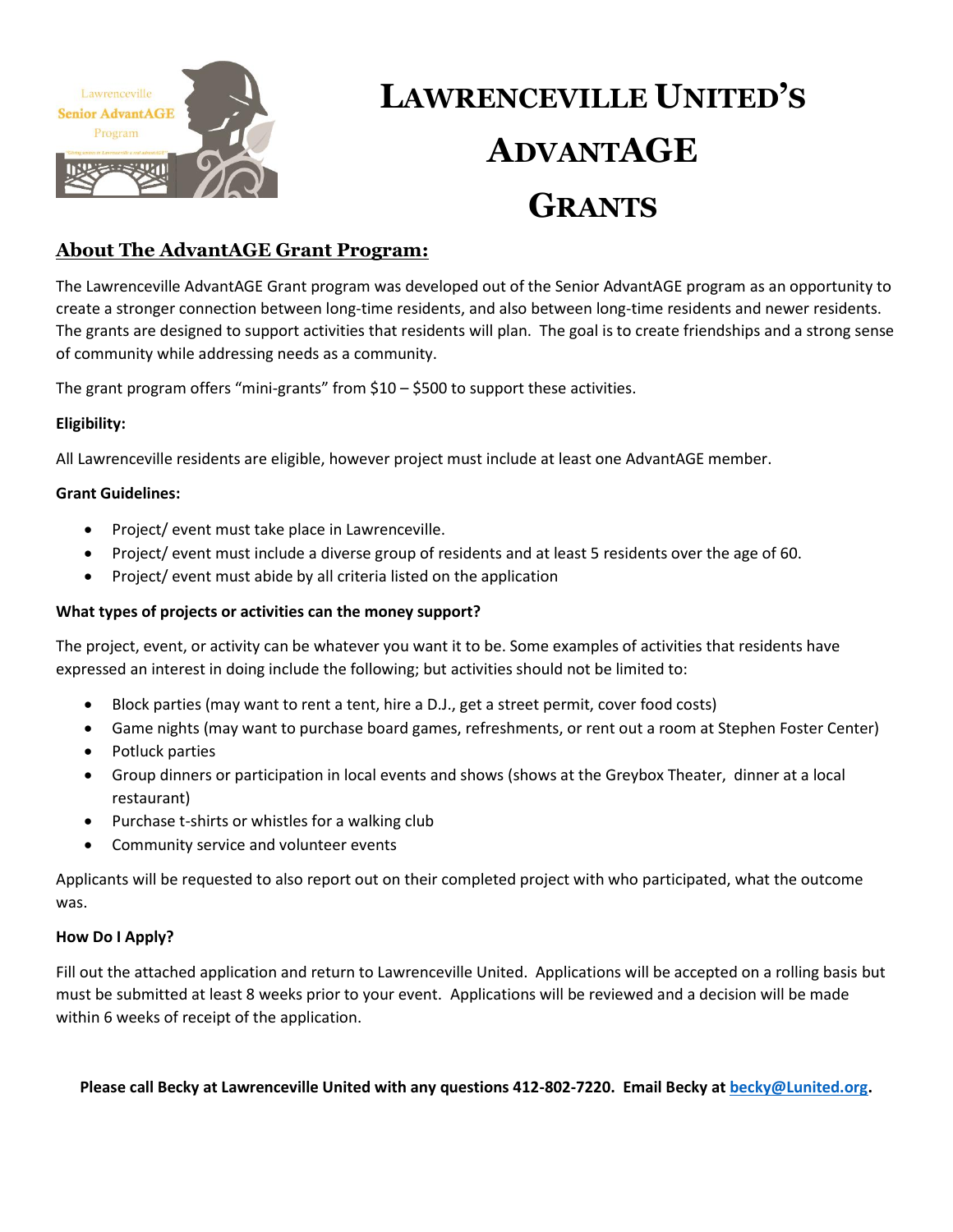

# **LAWRENCEVILLE UNITED'S ADVANTAGE GRANTS**

### **About The AdvantAGE Grant Program:**

The Lawrenceville AdvantAGE Grant program was developed out of the Senior AdvantAGE program as an opportunity to create a stronger connection between long-time residents, and also between long-time residents and newer residents. The grants are designed to support activities that residents will plan. The goal is to create friendships and a strong sense of community while addressing needs as a community.

The grant program offers "mini-grants" from \$10 – \$500 to support these activities.

### **Eligibility:**

All Lawrenceville residents are eligible, however project must include at least one AdvantAGE member.

### **Grant Guidelines:**

- Project/ event must take place in Lawrenceville.
- Project/ event must include a diverse group of residents and at least 5 residents over the age of 60.
- Project/ event must abide by all criteria listed on the application

### **What types of projects or activities can the money support?**

The project, event, or activity can be whatever you want it to be. Some examples of activities that residents have expressed an interest in doing include the following; but activities should not be limited to:

- Block parties (may want to rent a tent, hire a D.J., get a street permit, cover food costs)
- Game nights (may want to purchase board games, refreshments, or rent out a room at Stephen Foster Center)
- Potluck parties
- Group dinners or participation in local events and shows (shows at the Greybox Theater, dinner at a local restaurant)
- Purchase t-shirts or whistles for a walking club
- Community service and volunteer events

Applicants will be requested to also report out on their completed project with who participated, what the outcome was.

### **How Do I Apply?**

Fill out the attached application and return to Lawrenceville United. Applications will be accepted on a rolling basis but must be submitted at least 8 weeks prior to your event. Applications will be reviewed and a decision will be made within 6 weeks of receipt of the application.

**Please call Becky at Lawrenceville United with any questions 412-802-7220. Email Becky at [becky@Lunited.org.](mailto:becky@Lunited.org)**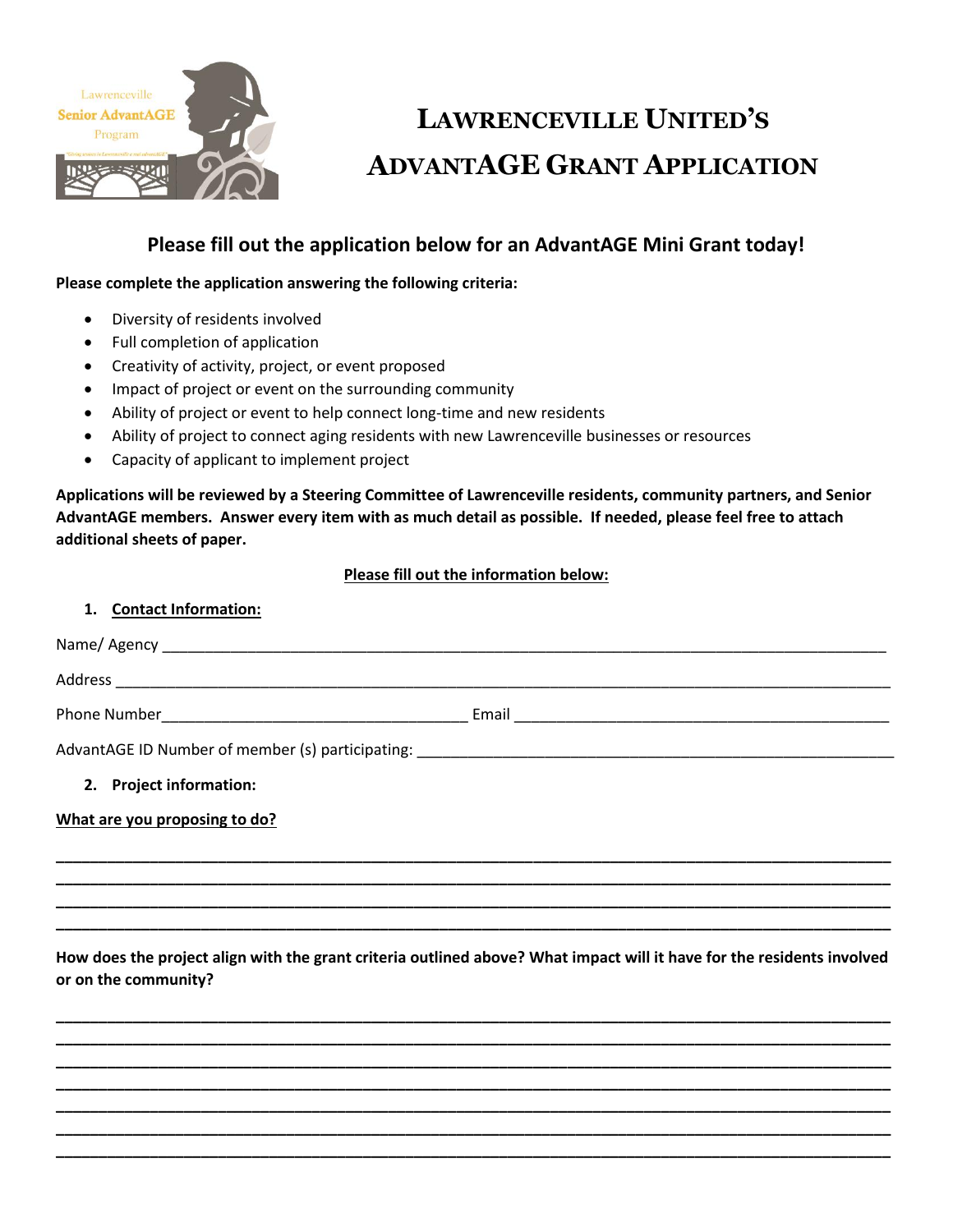

# **LAWRENCEVILLE UNITED'S ADVANTAGE GRANT APPLICATION**

## **Please fill out the application below for an AdvantAGE Mini Grant today!**

### **Please complete the application answering the following criteria:**

- Diversity of residents involved
- Full completion of application
- Creativity of activity, project, or event proposed
- Impact of project or event on the surrounding community
- Ability of project or event to help connect long-time and new residents
- Ability of project to connect aging residents with new Lawrenceville businesses or resources
- Capacity of applicant to implement project

**Applications will be reviewed by a Steering Committee of Lawrenceville residents, community partners, and Senior AdvantAGE members. Answer every item with as much detail as possible. If needed, please feel free to attach additional sheets of paper.** 

### **Please fill out the information below:**

| 1. Contact Information:                                                          |  |
|----------------------------------------------------------------------------------|--|
|                                                                                  |  |
|                                                                                  |  |
|                                                                                  |  |
| AdvantAGE ID Number of member (s) participating: _______________________________ |  |
| 2. Project information:                                                          |  |
| What are you proposing to do?                                                    |  |
|                                                                                  |  |
|                                                                                  |  |

**How does the project align with the grant criteria outlined above? What impact will it have for the residents involved or on the community?**

**\_\_\_\_\_\_\_\_\_\_\_\_\_\_\_\_\_\_\_\_\_\_\_\_\_\_\_\_\_\_\_\_\_\_\_\_\_\_\_\_\_\_\_\_\_\_\_\_\_\_\_\_\_\_\_\_\_\_\_\_\_\_\_\_\_\_\_\_\_\_\_\_\_\_\_\_\_\_\_\_\_\_\_\_\_\_\_\_\_\_\_\_\_\_\_\_\_\_ \_\_\_\_\_\_\_\_\_\_\_\_\_\_\_\_\_\_\_\_\_\_\_\_\_\_\_\_\_\_\_\_\_\_\_\_\_\_\_\_\_\_\_\_\_\_\_\_\_\_\_\_\_\_\_\_\_\_\_\_\_\_\_\_\_\_\_\_\_\_\_\_\_\_\_\_\_\_\_\_\_\_\_\_\_\_\_\_\_\_\_\_\_\_\_\_\_\_ \_\_\_\_\_\_\_\_\_\_\_\_\_\_\_\_\_\_\_\_\_\_\_\_\_\_\_\_\_\_\_\_\_\_\_\_\_\_\_\_\_\_\_\_\_\_\_\_\_\_\_\_\_\_\_\_\_\_\_\_\_\_\_\_\_\_\_\_\_\_\_\_\_\_\_\_\_\_\_\_\_\_\_\_\_\_\_\_\_\_\_\_\_\_\_\_\_\_ \_\_\_\_\_\_\_\_\_\_\_\_\_\_\_\_\_\_\_\_\_\_\_\_\_\_\_\_\_\_\_\_\_\_\_\_\_\_\_\_\_\_\_\_\_\_\_\_\_\_\_\_\_\_\_\_\_\_\_\_\_\_\_\_\_\_\_\_\_\_\_\_\_\_\_\_\_\_\_\_\_\_\_\_\_\_\_\_\_\_\_\_\_\_\_\_\_\_ \_\_\_\_\_\_\_\_\_\_\_\_\_\_\_\_\_\_\_\_\_\_\_\_\_\_\_\_\_\_\_\_\_\_\_\_\_\_\_\_\_\_\_\_\_\_\_\_\_\_\_\_\_\_\_\_\_\_\_\_\_\_\_\_\_\_\_\_\_\_\_\_\_\_\_\_\_\_\_\_\_\_\_\_\_\_\_\_\_\_\_\_\_\_\_\_\_\_ \_\_\_\_\_\_\_\_\_\_\_\_\_\_\_\_\_\_\_\_\_\_\_\_\_\_\_\_\_\_\_\_\_\_\_\_\_\_\_\_\_\_\_\_\_\_\_\_\_\_\_\_\_\_\_\_\_\_\_\_\_\_\_\_\_\_\_\_\_\_\_\_\_\_\_\_\_\_\_\_\_\_\_\_\_\_\_\_\_\_\_\_\_\_\_\_\_\_ \_\_\_\_\_\_\_\_\_\_\_\_\_\_\_\_\_\_\_\_\_\_\_\_\_\_\_\_\_\_\_\_\_\_\_\_\_\_\_\_\_\_\_\_\_\_\_\_\_\_\_\_\_\_\_\_\_\_\_\_\_\_\_\_\_\_\_\_\_\_\_\_\_\_\_\_\_\_\_\_\_\_\_\_\_\_\_\_\_\_\_\_\_\_\_\_\_\_** 

**\_\_\_\_\_\_\_\_\_\_\_\_\_\_\_\_\_\_\_\_\_\_\_\_\_\_\_\_\_\_\_\_\_\_\_\_\_\_\_\_\_\_\_\_\_\_\_\_\_\_\_\_\_\_\_\_\_\_\_\_\_\_\_\_\_\_\_\_\_\_\_\_\_\_\_\_\_\_\_\_\_\_\_\_\_\_\_\_\_\_\_\_\_\_\_\_\_\_ \_\_\_\_\_\_\_\_\_\_\_\_\_\_\_\_\_\_\_\_\_\_\_\_\_\_\_\_\_\_\_\_\_\_\_\_\_\_\_\_\_\_\_\_\_\_\_\_\_\_\_\_\_\_\_\_\_\_\_\_\_\_\_\_\_\_\_\_\_\_\_\_\_\_\_\_\_\_\_\_\_\_\_\_\_\_\_\_\_\_\_\_\_\_\_\_\_\_**